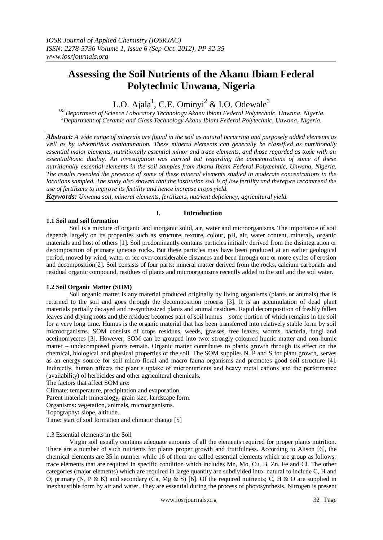# **Assessing the Soil Nutrients of the Akanu Ibiam Federal Polytechnic Unwana, Nigeria**

L.O. Ajala<sup>1</sup>, C.E. Ominyi<sup>2</sup> & I.O. Odewale<sup>3</sup>

*1&2Department of Science Laboratory Technology Akanu Ibiam Federal Polytechnic, Unwana, Nigeria. <sup>3</sup>Department of Ceramic and Glass Technology Akanu Ibiam Federal Polytechnic, Unwana, Nigeria.*

*Abstract: A wide range of minerals are found in the soil as natural occurring and purposely added elements as well as by adventitious contamination. These mineral elements can generally be classified as nutritionally essential major elements, nutritionally essential minor and trace elements, and those regarded as toxic with an essential/toxic duality. An investigation was carried out regarding the concentrations of some of these nutritionally essential elements in the soil samples from Akanu Ibiam Federal Polytechnic, Unwana, Nigeria. The results revealed the presence of some of these mineral elements studied in moderate concentrations in the locations sampled. The study also showed that the institution soil is of low fertility and therefore recommend the use of fertilizers to improve its fertility and hence increase crops yield.*

*Keywords: Unwana soil, mineral elements, fertilizers, nutrient deficiency, agricultural yield.*

## **1.1 Soil and soil formation**

## **I. Introduction**

Soil is a mixture of organic and inorganic solid, air, water and microorganisms. The importance of soil depends largely on its properties such as structure, texture, colour, pH, air, water content, minerals, organic materials and host of others [1]. Soil predominantly contains particles initially derived from the disintegration or decomposition of primary igneous rocks. But these particles may have been produced at an earlier geological period, moved by wind, water or ice over considerable distances and been through one or more cycles of erosion and decomposition[2]. Soil consists of four parts: mineral matter derived from the rocks, calcium carbonate and residual organic compound, residues of plants and microorganisms recently added to the soil and the soil water.

## **1.2 Soil Organic Matter (SOM)**

Soil organic matter is any material produced originally by living organisms (plants or animals) that is returned to the soil and goes through the decomposition process [3]. It is an accumulation of dead plant materials partially decayed and re-synthesized plants and animal residues. Rapid decomposition of freshly fallen leaves and drying roots and the residues becomes part of soil humus – some portion of which remains in the soil for a very long time. Humus is the organic material that has been transferred into relatively stable form by soil microorganisms. SOM consists of crops residues, weeds, grasses, tree leaves, worms, bacteria, fungi and acetinomycetes [3]. However, SOM can be grouped into two: strongly coloured humic matter and non-humic matter – undecomposed plants remain. Organic matter contributes to plants growth through its effect on the chemical, biological and physical properties of the soil. The SOM supplies N, P and S for plant growth, serves as an energy source for soil micro floral and macro fauna organisms and promotes good soil structure [4]. Indirectly, human affects the plant's uptake of micronutrients and heavy metal cations and the performance (availability) of herbicides and other agricultural chemicals.

The factors that affect SOM are:

Climate: temperature, precipitation and evaporation.

Parent material**:** mineralogy, grain size, landscape form.

Organisms**:** vegetation, animals, microorganisms.

Topography**:** slope, altitude.

Time**:** start of soil formation and climatic change [5]

## 1.3 Essential elements in the Soil

Virgin soil usually contains adequate amounts of all the elements required for proper plants nutrition. There are a number of such nutrients for plants proper growth and fruitfulness. According to Alison [6], the chemical elements are 35 in number while 16 of them are called essential elements which are group as follows: trace elements that are required in specific condition which includes Mn, Mo, Cu, B, Zn, Fe and Cl. The other categories (major elements) which are required in large quantity are subdivided into: natural to include C, H and O; primary (N, P & K) and secondary (Ca, Mg & S) [6]. Of the required nutrients; C, H & O are supplied in inexhaustible form by air and water. They are essential during the process of photosynthesis. Nitrogen is present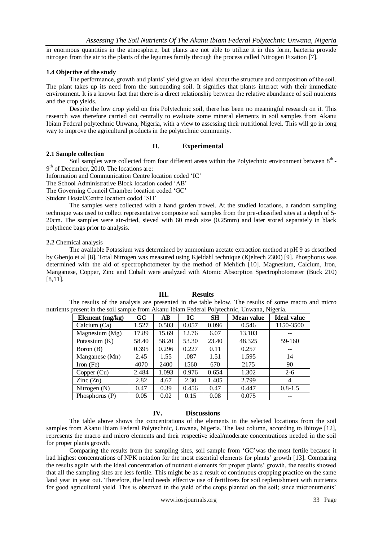in enormous quantities in the atmosphere, but plants are not able to utilize it in this form, bacteria provide nitrogen from the air to the plants of the legumes family through the process called Nitrogen Fixation [7].

#### **1.4 Objective of the study**

The performance, growth and plants' yield give an ideal about the structure and composition of the soil. The plant takes up its need from the surrounding soil. It signifies that plants interact with their immediate environment. It is a known fact that there is a direct relationship between the relative abundance of soil nutrients and the crop yields.

Despite the low crop yield on this Polytechnic soil, there has been no meaningful research on it. This research was therefore carried out centrally to evaluate some mineral elements in soil samples from Akanu Ibiam Federal polytechnic Unwana, Nigeria, with a view to assessing their nutritional level. This will go in long way to improve the agricultural products in the polytechnic community.

## **II. Experimental**

#### **2.1 Sample collection**

Soil samples were collected from four different areas within the Polytechnic environment between  $8<sup>th</sup>$ . 9<sup>th</sup> of December, 2010. The locations are:

Information and Communication Centre location coded 'IC'

The School Administrative Block location coded 'AB'

The Governing Council Chamber location coded 'GC'

Student Hostel/Centre location coded 'SH'

The samples were collected with a hand garden trowel. At the studied locations, a random sampling technique was used to collect representative composite soil samples from the pre-classified sites at a depth of 5- 20cm. The samples were air-dried, sieved with 60 mesh size (0.25mm) and later stored separately in black polythene bags prior to analysis.

#### **2.2** Chemical analysis

The available Potassium was determined by ammonium acetate extraction method at pH 9 as described by Gbenjo et al [8]. Total Nitrogen was measured using Kjeldahl technique (Kjeltech 2300) [9]. Phosphorus was determined with the aid of spectrophotometer by the method of Mehlich [10]. Magnesium, Calcium, Iron, Manganese, Copper, Zinc and Cobalt were analyzed with Atomic Absorption Spectrophotometer (Buck 210) [8,11].

#### **III. Results**

The results of the analysis are presented in the table below. The results of some macro and micro nutrients present in the soil sample from Akanu Ibiam Federal Polytechnic, Unwana, Nigeria.

| Element (mg/kg)          | GC    | $\bf AB$ | IC    | <b>SH</b> | <b>Mean value</b> | <b>Ideal value</b> |
|--------------------------|-------|----------|-------|-----------|-------------------|--------------------|
| Calcium (Ca)             | 1.527 | 0.503    | 0.057 | 0.096     | 0.546             | 1150-3500          |
| Magnesium (Mg)           | 17.89 | 15.69    | 12.76 | 6.07      | 13.103            |                    |
| Potassium $(K)$          | 58.40 | 58.20    | 53.30 | 23.40     | 48.325            | 59-160             |
| Boron (B)                | 0.395 | 0.296    | 0.227 | 0.11      | 0.257             |                    |
| Manganese (Mn)           | 2.45  | 1.55     | .087  | 1.51      | 1.595             | 14                 |
| Iron $(Fe)$              | 4070  | 2400     | 1560  | 670       | 2175              | 90                 |
| Copper (Cu)              | 2.484 | 1.093    | 0.976 | 0.654     | 1.302             | $2 - 6$            |
| $\text{Zinc}(\text{Zn})$ | 2.82  | 4.67     | 2.30  | 1.405     | 2.799             | 4                  |
| Nitrogen $(N)$           | 0.47  | 0.39     | 0.456 | 0.47      | 0.447             | $0.8 - 1.5$        |
| Phosphorus (P)           | 0.05  | 0.02     | 0.15  | 0.08      | 0.075             |                    |

#### **IV. Discussions**

The table above shows the concentrations of the elements in the selected locations from the soil samples from Akanu Ibiam Federal Polytechnic, Unwana, Nigeria. The last column, according to Ibitoye [12], represents the macro and micro elements and their respective ideal/moderate concentrations needed in the soil for proper plants growth.

Comparing the results from the sampling sites, soil sample from 'GC'was the most fertile because it had highest concentrations of NPK notation for the most essential elements for plants' growth [13]. Comparing the results again with the ideal concentration of nutrient elements for proper plants' growth, the results showed that all the sampling sites are less fertile. This might be as a result of continuous cropping practice on the same land year in year out. Therefore, the land needs effective use of fertilizers for soil replenishment with nutrients for good agricultural yield. This is observed in the yield of the crops planted on the soil; since micronutrients'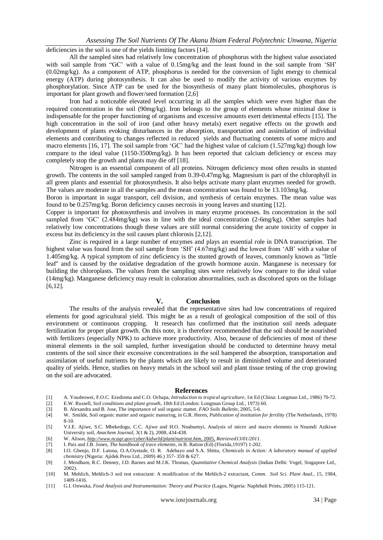deficiencies in the soil is one of the yields limiting factors [14].

All the sampled sites had relatively low concentration of phosphorus with the highest value associated with soil sample from "GC' with a value of 0.15mg/kg and the least found in the soil sample from 'SH' (0.02mg/kg). As a component of ATP, phosphorus is needed for the conversion of light energy to chemical energy (ATP) during photosynthesis. It can also be used to modify the activity of various enzymes by phosphorylation. Since ATP can be used for the biosynthesis of many plant biomolecules, phosphorus is important for plant growth and flower/seed formation [2,6]

Iron had a noticeable elevated level occurring in all the samples which were even higher than the required concentration in the soil (90mg/kg). Iron belongs to the group of elements whose minimal dose is indispensable for the proper functioning of organisms and excessive amounts exert detrimental effects [15]. The high concentration in the soil of iron (and other heavy metals) exert negative effects on the growth and development of plants evoking disturbances in the absorption, transportation and assimilation of individual elements and contributing to changes reflected in reduced yields and fluctuating contents of some micro and macro elements [16, 17]. The soil sample from 'GC' had the highest value of calcium (1.527mg/kg) though low compare to the ideal value (1150-3500mg/kg). It has been reported that calcium deficiency or excess may completely stop the growth and plants may die off [18].

Nitrogen is an essential component of all proteins. Nitrogen deficiency most often results in stunted growth. The contents in the soil sampled ranged from 0.39-0.47mg/kg. Magnesium is part of the chlorophyll in all green plants and essential for photosynthesis. It also helps activate many plant enzymes needed for growth. The values are moderate in all the samples and the mean concentration was found to be 13.103mg/kg.

Boron is important in sugar transport, cell division, and synthesis of certain enzymes. The mean value was found to be 0.257mg/kg. Boron deficiency causes necrosis in young leaves and stunting [12].

Copper is important for photosynthesis and involves in many enzyme processes. Its concentration in the soil sampled from 'GC' (2.484mg/kg) was in line with the ideal concentration (2-6mg/kg). Other samples had relatively low concentrations though these values are still normal considering the acute toxicity of copper in excess but its deficiency in the soil causes plant chlorosis [2,12].

Zinc is required in a large number of enzymes and plays an essential role in DNA transcription. The highest value was found from the soil sample from 'SH' (4.67mg/kg) and the lowest from 'AB' with a value of 1.405mg/kg. A typical symptom of zinc deficiency is the stunted growth of leaves, commonly known as "little leaf" and is caused by the oxidative degradation of the growth hormone auxin. Manganese is necessary for building the chloroplasts. The values from the sampling sites were relatively low compare to the ideal value (14mg/kg). Manganese deficiency may result in coloration abnormalities, such as discolored spots on the foliage [6,12].

#### **V. Conclusion**

The results of the analysis revealed that the representative sites had low concentrations of required elements for good agricultural yield. This might be as a result of geological composition of the soil of this environment or continuous cropping. It research has confirmed that the institution soil needs adequate fertilization for proper plant growth. On this note, it is therefore recommended that the soil should be nourished with fertilizers (especially NPK) to achieve more productivity. Also, because of deficiencies of most of these mineral elements in the soil sampled, further investigation should be conducted to determine heavy metal contents of the soil since their excessive concentrations in the soil hampered the absorption, transportation and assimilation of useful nutrients by the plants which are likely to result in diminished volume and deteriorated quality of yields. Hence, studies on heavy metals in the school soil and plant tissue testing of the crop growing on the soil are advocated.

#### **References**

- [1] A. Youdeowei, F.O.C. Ezedinma and C.O. Ochapa, *Introduction to tropical agriculture,* 1st Ed (China: Longman Ltd., 1986) 70-72. [2] E.W. Russell, *Soil conditions and plant growth*, 10th Ed (London: Longman Group Ltd., 1973) 60.
- [3] B. Alexandra and B. Jose, The importance of soil organic matter. *FAO Soils Bulletin*, 2005, 5-6.
- [4] W. Smilde, Soil organic matter and organic manuring, in G.R. Heren, *Publication of institution for fertility* (The Netherlands, 1978) 8-10.
- [5] V.I.E. Ajiwe, S.C. Mbekedogu, C.C. Ajiwe and H.O. Nnabuenyi, Analysis of micro and macro elements in Nnamdi Azikiwe University soil, *Anachem Journal,* 3(1 & 2), 2008, 434-438.
- [6] W. Alison, *http://www.ncagr.gov/cyber/kidwrld/plant/nutrient.htm,* 2005, *Retrieved13/01/2011*.
- [7] I. Pais and J.B. Jones, *The handbook of trace elements, i*n B. Ration (Ed) (Florida,19197) 1-202.
- [8] I.O. Gbenjo, D.F. Latona, O.A.Oyetade, O. R. Adebayo and S.A. Shittu, *Chemicals in Action: A laboratory manual of applied chemistry* (Nigeria: Ajidek Press Ltd., 2009) 46.) 357- 359 & 627.
- [9] J. Mendham, R.C. Denney, J.D. Barnes and M.J.K. Thomas, *Quantitative Chemical Analysis* (Indian Delhi: Vogel, Singapore Ltd., 2002).
- [10] M. Mehlich, Mehlich-3 soil test extractant: A modification of the Mehlich-2 extractant, *Comm. Soil Sci. Plant Anal.,* 15, 1984, 1409-1416.
- [11] G.I. Onwuka, *Food Analysis and Instrumentation: Theory and Practice* (Lagos, Nigeria: Naphthali Prints, 2005) 115-121.